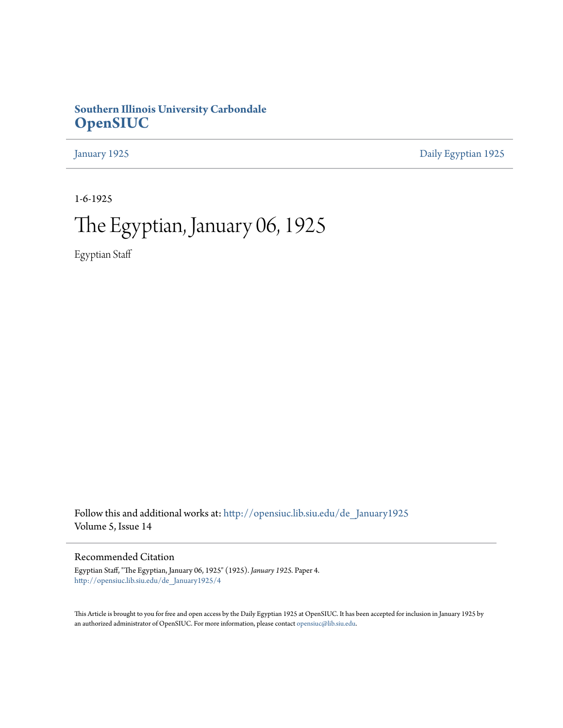## **Southern Illinois University Carbondale [OpenSIUC](http://opensiuc.lib.siu.edu?utm_source=opensiuc.lib.siu.edu%2Fde_January1925%2F4&utm_medium=PDF&utm_campaign=PDFCoverPages)**

[January 1925](http://opensiuc.lib.siu.edu/de_January1925?utm_source=opensiuc.lib.siu.edu%2Fde_January1925%2F4&utm_medium=PDF&utm_campaign=PDFCoverPages) [Daily Egyptian 1925](http://opensiuc.lib.siu.edu/de_1925?utm_source=opensiuc.lib.siu.edu%2Fde_January1925%2F4&utm_medium=PDF&utm_campaign=PDFCoverPages)

1-6-1925

# The Egyptian, January 06, 1925

Egyptian Staff

Follow this and additional works at: [http://opensiuc.lib.siu.edu/de\\_January1925](http://opensiuc.lib.siu.edu/de_January1925?utm_source=opensiuc.lib.siu.edu%2Fde_January1925%2F4&utm_medium=PDF&utm_campaign=PDFCoverPages) Volume 5, Issue 14

#### Recommended Citation

Egyptian Staff, "The Egyptian, January 06, 1925" (1925). *January 1925.* Paper 4. [http://opensiuc.lib.siu.edu/de\\_January1925/4](http://opensiuc.lib.siu.edu/de_January1925/4?utm_source=opensiuc.lib.siu.edu%2Fde_January1925%2F4&utm_medium=PDF&utm_campaign=PDFCoverPages)

This Article is brought to you for free and open access by the Daily Egyptian 1925 at OpenSIUC. It has been accepted for inclusion in January 1925 by an authorized administrator of OpenSIUC. For more information, please contact [opensiuc@lib.siu.edu.](mailto:opensiuc@lib.siu.edu)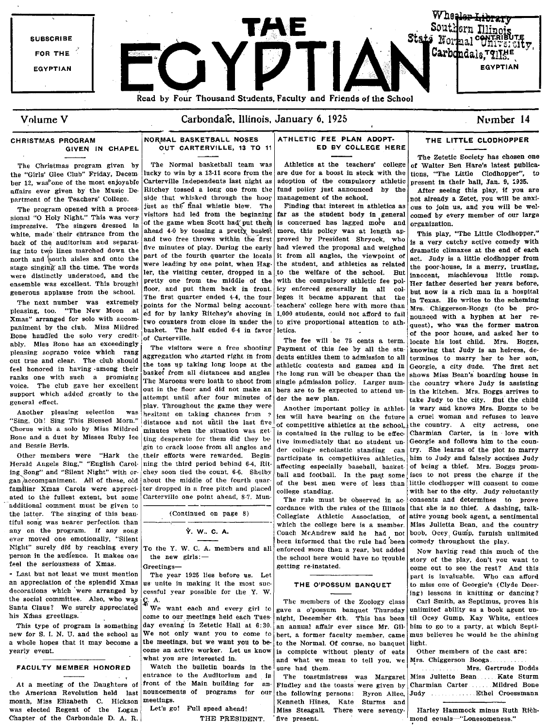

The Christmas program given by

the "Girls' Glee Club" Friday, December 12, was one of the most enjoyable affairs ever given by the Music De· partment of the Teachers' College.

The program opened with a processional "0 Holy Night." This was very impressive. The singers dressed In white, made their entrance from the back of the auditorium and separating into two lines marched down the north and south aisles and onto the stage singing all the time. The words were distinctly understood, and the ensemble was excellent. This brought generous applanse from the schooL

ated to the fullest extent, but some Carterville one point ahead, 8.7. Mun· The rule must be observed in ac. consents and determines to prove<br>additional comment must be given to extend the rule of the fulling of the fullin any on the program. If any song  $\gamma$ . W. C. A. Coach McAndrew said he had not boob, Ocey, Gump, furnish unlimited ever moved one emotionally, "Silent  $\gamma$ . W. C. A. ever moved one emotionally, "Silent  $\begin{array}{c|c}\n & -\n\end{array}$  been informed that the rule had been comedy throughout the play.<br>Night" surely did by reaching every To the Y.W.C. A. members and all enforced more than a year, bu Night" surely did by reaching every To the Y. W. C. A. members and all enforced more than a year, but added Now having read this much of the person in the audience. It makes one the new girls:  $\frac{1}{100}$  the school here

an appreciation of the splendid Xmas us unite in making it the most suc-<br>decorations which were arranged by cessful year possible for the Y.W. decorations which were arranged by cessful year possible for the Y. W. Ing) lessons in knitting or dancing?<br>The members of the Zoology class Carl Smith as Septimus, proves his

At a meeting of the Daughters of front of the Main building for the American Revolution held last nouncements of programs for month, Miss Elizabeth C. Hickson meetings.<br>was elected Regent of the Logan Let's go! Full speed ahead! was elected Regent of the Logan Chapter of the Carbondale D. A. R. THE PRESIDENT.

## OUT CARTERVILLE, 13 TO 11

Chorus with a solo by Miss Mildred minutes when the situation was get. is contained in the ruling to be effec-<br>Bone and a duet by Misses Ruby Ice  $\left| \text{ting} \right|$  desperate for them did they be.  $\left| \text{ times} \right|$  is contained in

|  | . W. C. A |  |  |
|--|-----------|--|--|
|--|-----------|--|--|

what you are interested in.

FACULTY MEMBER HONORED | Watch the bulletin boards in the entrance to the Auditorium and in

#### CHRISTMAS PROGRAM **NORMAL BASKETBALL NOSES** ATHLETIC FEE PLAN ADOPT-<br>GIVEN IN CHAPEL OUT CARTERVILLE, 13 TO 11 ED BY COLLEGE HE ED BY COLLEGE HERE

Carterville Independents last night as adoption of the compulsory athletic present in their hall, Jan. 9, 1925.<br>Ritchey tossed a long one from the fund policy just announced by the After seeing this play, if you are Ritchey tossed a long one from the fund policy just announced by the side that whisked through the hoor management of the school.

of the game when Scott had put them is concerned has lagged more and organization.<br>ahead 4.0 by tossing a pretty basket more, this policy was at length applements alove ahead 4-0 by tossing a pretty basket more, this policy was at length ap-  $\eta$  This play, "The Little Clodhopper,"<br>and two free throws within the first proved by President Shryock, who is a seem attain a small with

pleasing soprano voice which rang aggregation who started right in from dents entitles them to admission to all termines to marry her to her son, de-<br>pleasing soprano voice which rang aggregation who started right in from out true and clear. The club should the toss up taking long loops at the athletic contests and games and in Georgie, a city dude. The first act refer honored in having among their basket from all distances and angles the long run will be cheaper than the shows Miss Bean's boarding house in<br>The shows with such a promising The Maroons were loath to shoot from single ranks one with such a promising The Maroons were loath to shoot from single admission policy. Larger num. the country where Judy is assisting<br>voice. The club gave her excellent out in the floor and did not make an hers are voice. The club gave her excellent out in the floor and did not make an hers are to be expected to attend un- in the kitchen. Mrs. Boggs arrives to support which added greatly to the  $\mu$ ,  $\mu$  in the interval and  $\mu$ .

Another pleasing selection was hesitant on taking chances from ? Ics will have bearing on the future a cruel woman and refuses to leave distance and not until the last five of competitive athletics at the school, the country. A city actress, one minutes when the situation was get  $\frac{1}{1}$  is contained in the ruling to be effec. Charmian Carter, is in lov Bone and a duet by Misses Ruby Ice  $\begin{bmatrix} \text{ting} \text{ degree} \\ \text{sign} \text{ to crack} \end{bmatrix}$  to them did they be tive immediately that no student un. Georgie and follows him to the coun-<br>gin to crack loose from all angles and  $\begin{bmatrix} \text{Area} \text{ velocity$ der college scholastic standing can try. She learns of the plot to marry Other members were "Hark the their efforts were rewarded. Begin- participate in competitives athletics, him to Judy and falsely accuses Judy Herald Angels Sing," "English Carol- ning the third period behind 6-4. Rit- affe Herald Angels Sing," "English Carol- ning the third period behind 6-4. Rit- affecting especially baseball, basket- of being a thief. Mrs. Boggs prom-<br>ing Song" and "Silent Night" with or- chey soon tied the count, 6-6. Sh ing Song" and "Silent Night" with or-chey soon tied the count, 6-6. Shelby ball and football. In the past some ises to not press the charge if the gan accompaniment. All of these, old about the middle of the fourth quar of the best men were of less than little clodhopper will consent to come familiar Xmas Carols were appreci- ter dropped in a free pitch and placed college standing.

person in the audience. It makes one the new girls:--<br>feel the school here would have no trouble story of the play, don't you want to<br>come out to see the rest? And this

Santa Claus? We surely appreciated we want each and every girl to gave a o'possum banquet Thursday unlimited ability as a book agent unhis Xmas greetings.<br>This type of program is something day evening in Zetetic Hall at 6:30. an annual affair ever since Mr. Gil. him to go to a party, at which Septiday evening in Zetetic Hall at 6:30. an annual affair ever since Mr. Gil· bim to go to a party, at which Septi-<br>We not only want you to come to bert, a former faculty member, came mus believes he would be the shining new for S. I. N. U. and the school as We not only want you to come to bert, a former faculty member, came mus believes he would be the shining a whole hopes that it may become a the meetings, but we want you to be to the a whole hopes that it may become a the meetings, but we want you to be- to the Normal. Of course, no banquet light.<br>
vearly event. yearly event. come an active worker. Let us know is complete without plenty of eats Other members of the cast are: and what we mean to tell you. we sure had them.

 $\begin{array}{|c|c|c|c|c|}\n\hline\n\text{in} & \text{The} & \text{toastr} \\
\text{and the tests were given by}\n\end{array}$ Findley and the toasts were given by  $|$  our  $|$  the following persons: Byron Allee. Kenneth Hines, Kate Sturms and Miss SteagalL There were seventy· five present.

### THE LITTLE CLODHOPPER

The Zetetic Society has chosen one The Normal basketball team was Athletics at the teachers' college of Walter Ben Hare's latest publica-<br>lucky to win by a 13-11 score from the are due for a boost in stock with the tions, "The Little Clodhopper", to lucky to win by a 13-11 score from the are due for a boost in stock with the tions, "The Little Clodhopper", to Carteryille Independents last night as adoption of the compulsory athletic prosent in their ball. Ian 9, 1925

side that whisked through the hoor management of the school.  $\vert$  not already a Zetet, you will be anxi-<br>just as the final whistle blew. The Finding that interest in athletics as ous to join us, and you will be weljust as the final whistle blew. The Finding that interest in athletics as ous to join us, and you will be wel-<br>visitors had led from the beginning far as the student body in general comed by every member of our large visitors had led from the beginning far as the student body in general comed by every member of our large<br>of the game when Scott had put them is concerned has lagged more and organization.

and two free throws within the first proved by President Shryock, who is a very catchy active comedy with five most proved to each of each of each of each of each of each of each of each of each of each of each of each of five minutes of play. During the early had viewed the proposal and weighed dramatic climaxes at the end of each<br>part of the fourth quarter the locals it from all angles, the viewpoint of set Trdy is a little clodhonner fr part of the fourth quarter the locals it from all angles, the viewpoint of  $\begin{bmatrix} act. \\ bct. \end{bmatrix}$  and  $\begin{bmatrix} act. \\ bct. \end{bmatrix}$  act. Judy is a little clodhopper from were leading by one point, when Hag- the student, and athletics as related the poor-house, is a merry, trusting,  $\lvert$  and  $\lvert$  is a merry, trusting,  $\lvert$  is a merry, trusting,  $\lvert$  is a merry, trusting,  $\lvert$  is a mer ler, the visiting center, dropped in a to the welfare of the school. But  $\frac{1}{2}$  innocent, mischievous little romp. pretty one from the middle of the with the compulsory athletic fee pol-  $H$ er father deserted her years before, floor, and put them back in front. icy enforced generally in all col-  $\frac{1}{2}$  at your is a righ man in a he floor, and put them back in front. icy enforced generally in all col- but now is a rich man in a hospital<br>The first quarter ended 4-4, the four leges it became apparent that the <sub>in</sub> meyes. He writes to the scheming The first quarter ended 4-4, the four leges it became apparent that the  $\ln$  Texas. He writes to the scheming points for the Normal being account. teachers' college here with more than  $\ln$ The next number was extremely points for the Normal being account- teachers' college here with more than Mrs. Chiggerson-Boogs (to be pro-<br>pleasing, too. "The New Moon at ed for by lanky Ritchey's shoving in 1,000 student pleasing, too. "The New Moon at ed for by lanky Ritchey's shoving in 1,000 students, could not afford to fail nounced with a hyphen at her re-<br>Xmas" arranged for solo with accom-<br>two counters from close in under the to gi Xmas" arranged for solo with accom- two counters from close in under the to give proportional attention to ath- quest), who was the former matron paniment by the club. Miss Mildred hasket The half ended 6.4 in favor latin paniment by the club. Miss Mildred basket. The half ended 6-4 in favor letics.<br>Bone handled the solo very credit of Carterville. The formul be  $\frac{1}{2}$  of the poor house, and asked her to some nanuse the solo very credit- of Carterville.<br>ably, Miss Bone has an exceedingly The visitors were a free shooting Payment of this fee by all the stu- hocate his lost child. Mrs. Boggs,<br>pleasing soprano voice which ran support which added greatly to the attempt until after four minutes of der the new plan.<br>general effect. But the child play. Throughout the game they were another important policy is othicle is wery and knows Mrs. Boggs t general effect. play. Throughout the game they were Another important policy in athlet. is wary and knows Mrs. Boggs to be Another pleasing selection was hesitant on taking chances from  $\frac{1}{2}$  ice will have beering on additional comment must be given to comment that she given to cordance with the rules of the Illinois that she is no thief. A dashing, talk-<br>the latter. The singing of this beau-<br>(Continued on page 8) Collegiate Athletic the latter. The singing of this beau-<br>tiful song was nearer perfection than experience in the college has included a sentimental end the country tiful son'g was nearer perfection than ----- - which the college here is a member. Miss Julietta Bean, and the country

feel the seriousness of Amas.<br>• Last but not least we must mention a The year 1925 lies before us Let  $\begin{array}{|l|l|}\n\hline\n\end{array}$  come out to see the rest? And this - Last but not least we must mention The year 1925 lies before us. Let part is invaluable. Who can afford an appreciation of the splendid Xmas us unite in making it the most such THE O'POSSUM BANQUET to miss one of Georgie the social committee. Also, who. was  $\int_{S_1}$ . A. The members of the Zoology class Carl Smith, as Septimus, proves his

Mrs. Chiggersou Boogs.

. Mrs. Gertrude Dodds Miss Juliette Bean .... Kate Sturm Charmian Carter Mildred Bone Judy .............. Ethel Croessmann

Harley Hammock minus Ruth Richmond equals-"Lonesomeness."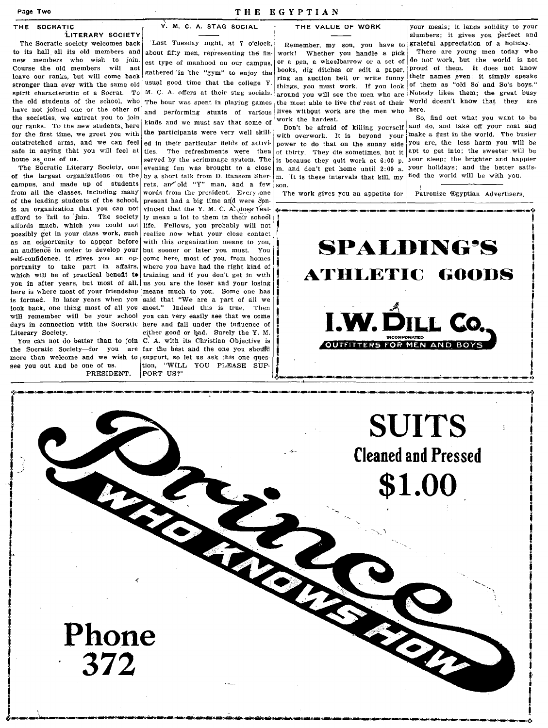The Socratic society welcomes back | 'Last Tuesday night, at 7 o'clock, | Remember, my son, you have to Erateful appreciation of a holiday.<br>
to its hall all its old members and about fifty men, representing the fin- work! to its hall all its old members and about fifty men, representing the fin- work! Whether you handle a pick There are young men today who new members who wish to join. of members are representing the summer of a new set of new members who wish to join. est type of manhood on our campus, or a pen, a wheelbarrow or a set of do not work, but the world is not<br>Course the old members will not extreme the flore of the set of the books, dig ditches Course the old members will not gathered in the "gym" to enjoy the books, dig ditches or edit a paper, proud of them. It does not know leave our ranks, but will come back such that the given to enjoy the ring an auction bell or write funny stronger than ever with the same old usual good time that the college Y. things, you must work. If you look stronger than ever with the same old usual good time that the college Y. the same work. If you look of them as "old So and So's boys."<br>spirit characteristic of a Socrat. To M. C. A. offers at their stag socials. spound yo spirit characteristic of a Socrat. To M. C. A. offers at their stag socials. around you will see the men who are Nobody likes them; the great busy<br>the old students of the school, who the hour was sport in playing cames th the old students of the school, who The hour was spent in playing games the most able to live the rest of their world have not joined one or the other of  $\begin{bmatrix} 1 & 0 \\ 0 & 1 \end{bmatrix}$  and north most are the most ally are the have not joined one or the other of and performing stunts of various lives without work are the men who here.<br>the societies, we entreat you to join binds and me wout can that some set work the hardest. the societies, we entreat you to join kinds and we must say that some of work the hardest.<br>Our ranks. To the new students, here kinds and we must say that some of Don't be afraid of killing vourself and do, and take off y our ranks. To the new students, here  $\frac{1}{2}$  and we must say that some of Don't be afraid of killing yourself<br>for the first time, we greet you with the participants were very well skill with overwork. It is beyond your for the first time, we greet you with the participants were very well skill with overwork. It is beyond your make a dust in the world. The busier<br>outstretched arms, and we can feel ed in their particular fields of activit outstretched arms, and we can feel ed in their particular fields of activi- power to do that on the sunny side you are, the less harm you will be safe in saying that you will feel at tiss. The refreshments were then of th safe in saying that you will feel at ties. The refreshments were then of thirty. They die sometimes, but it apt to get into; the sweeter will be home as one of us.

campus, and made up of students retz, an old "Y" man, and a few son.<br>from all the classes, including many words from the president. Every one from all the classes, including many words from the president. Every one The work gives you an appetite for  $\frac{1}{2}$  Patronize 'Egyptian Advertisers. of the leading students of the school, present had a big time and were con-<br>is an organization that you can not vinced that the Y. M. C. A. does realaffords much, which you could not life. Fellows, you probably will not possibly get in your class work, such realize now what your close contact as an opportunity to appear before with this organization means to you, an andience in order to develop your but sooner or later you must. You self-confidence it gives you an op- come here most of you from homes self-confidence, it gives you an opportunity to take part in affairs, where you have had the right kind of which will be of practical benefit to training and if you don't get in with you in after years, but most of all,  $\vert$  us you are the loser and your losing here is where most of your friendship means much to you. Some one has is formed. In later years when you said that "We are a part of all we look back, one thing most of all you meet." Indeed this is true. Then will remember will be your school you can very easily see that we come days in connection with the Socratic here and fall under the influence of Literary Society.

Literary Society.<br>You can not do better than to join C. A. with its Christian Objective is<br>the Socratic Society-for you are far the best and the one you should more than welcome and we wish to support, so let us ask this Bee you out and be one of us. tion, "WILL YOU PLEASE SUP-<br>PRESIDENT. PORT US?"

by a short talk from D. Ransom Sher·  $m$ . 'It is these intervals that kill, my retz, an od the will be will son.

THE SOCRATIC  $\gamma$ . M. C. A. STAG SOCIAL THE VALUE OF WORK your meals; it lends solidity to your<br>1. THE VALUE OF WORK solidity to your solidity to your solidity to your ilTERARY SOCIETY **I** I Slumbers; it gives you perfect and<br>The Socratic society welcomes back Least Tuesday night, at 7 o'clock, Remember, my son, you have to grateful appreciation of a holiday.

ome as one of us.<br>The Socratic Literary Society, one evening fun was brought to a close m, and don't get home until 2:00 p. your holidays; and the better satis-<br>The Socratic Literary Society, one evening fun was brought t The Socratic Literary Society, one evening fun was brought to a close m. and don't get home until 2:00 a. Vour holidays; and the better satis-<br>of the largest organizations on the by a short talk from D. Bansom Sher. m. It

an and design and design and design and design and design and design and design and design and design and des<br>In 1970, and design and design and design and design and design and design and design and design and design an<br>I

i<br>Indonésia<br>Indonésia j i j,

j i i<br>I<br>I ,<br>,<br>,<br>,<br>,<br>,<br>,<br>,<br>,<br>,<br>,<br><br>,<br><br>,<br><br><br><br><br><br> I



**the SUITS Cleaned and Pressed** <sup>1</sup>**\$1.00** I .

**Phone 372**  I I "' ... \_ ....... \_------------------------------,,-----,------.\_-"---,,\_ .. :.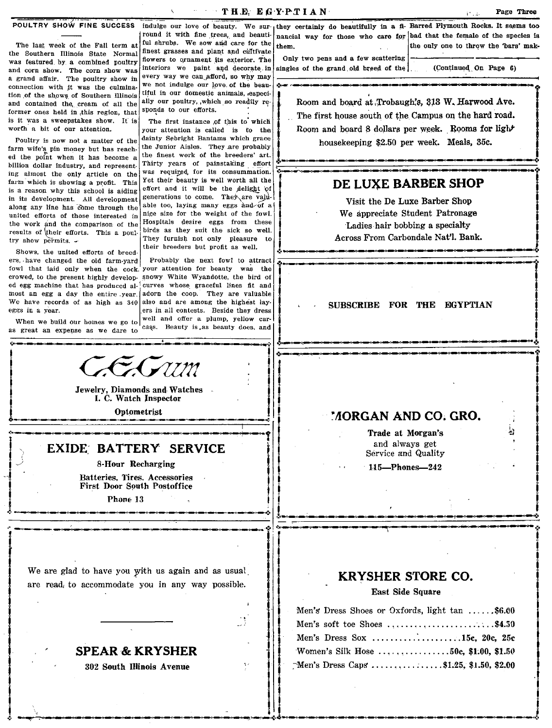$\mathbf{T} \cdot \mathbf{H} \cdot \mathbf{E}$ ,  $\mathbf{E} \cdot \mathbf{G} \cdot \mathbf{Y} \cdot \mathbf{P} \cdot \mathbf{T} \cdot \mathbf{I} \cdot \mathbf{A} \cdot \mathbf{N}$ 

j  $\begin{bmatrix} . & . & . \ . & . & . \ . & . & . \ . & . & . \ . & . & . \ . & . & . \end{bmatrix}$ 

 $\overline{\phantom{0}}$ i

... ~ •••• '!:.,~ .. \_\_ ~'M \_\_\_\_ • \_\_ ~ \_\_\_\_ ~-~-------\_\_\_\_\_\_ ........ \_\_ ~\_II\_g

I II I " i , j .: . **.. ,....** \_~~~~~~~ ...... \_\_ ~~\_~~~.: .. <-~-n-o-~~-c\_n-~-~~~.:.

The last week of the Fall term at the Southern Illinois State Normal was teatured, by, a combined poultry and corn show. The corn show was a grand affair. The poultry show in connection with it was the culmination of the shows of Southern Illinois and contained the cream of all the former ones held in ,this region, that is it was a sweepstakes show. It is worth a bit of our attention.

farm wife's pin money but has reached the point when it has become a billion dollar industry, and representing almost the only article on the farm which is showing a profit. This is a reason why this school is aiding in its development. All development along any line has come through the united efforts of those interested in the work and the comparison of the Hospitals desire eggs from these results of their efforts. This a nontiplierds as they suit the sick so well. results of their efforts. This a poultry show permits.  $\sim$  They furnish not only pleasure to

Shows, the united efforts of breeders, have changed the old farm-yard Probably the next fowl to attract

great an expense as we dare to

finest grasses and plant and cultivate flowers to ornament its exterior. The Only two pens and a few scattering interiors we paint and decorate in singles of the grand old breed of the every way we can afford, so why may we not indulge our love, of the beautiful in our domestic animals, especially our poultry, ,which so readily responds to our efforts.

The first instance of this to which your attention is called is to the dainty Sebright Bantams which grace the Junior Aisles. They .are probably the finest work of the breeders' art.<br>Thirty years of painstaking effort the Junior Aisles. They are probably **housekeeping \$2.50 per week. Means, 550.**<br>
the finest work of the breeders' art. **And the effort All and the second contract of the second contract of the second contract of the seco** was required, for its consummation. Yet their beauty is well worth all the effort and it will be the delight of generations to come. They are valuable too, laying many eggs and of a nice size for the weight of the fowl. their breeders but profit as well.

fowl that laid only when the cock. your attention for beauty was the crowed, to the present highly develop- snowy White Wyandotte, the bird of ed egg machine that has produced al-<br>ed egg machine that has produced al-<br>curves whose graceful lines fit and<br>I curves whose graceful lines fit and<br>I curves whose graceful lines fit and We have records of as high as  $340$  also and are among the highest layeggs in a year. .ers in all contests. Beside they dress When we build our homes we go to well and oner a plump, yellow car-<br> $\frac{1}{2}$  and  $\frac{1}{2}$  and  $\frac{1}{2}$  and  $\frac{1}{2}$  cass. Beauty is as beauty does, and

-'----·--"--'--·----~----.-'I ~ \

indulge our love of beauty. We sur-<br>they certainly do beautifully in a fi- Barred Plymouth Rocks. It seems too<br>round it with fine trees, and beauti- nancial way for those who care for bad that the female of the species is round it with fine trees, and beauti- nancial way for those who care for bad that the female of the species is<br>ful shrubs. We sow and care for the them them. the only one to throw the 'bars' mak-

, . \_\_ ....... \_~\_c:\_II\_a\_n\_D\_~\_D

(Continued On Page 6)

Room and board at, Trobaugh's, 313 W. Harwood Ave. The first house south of the Campus on the hard road. Room and board 8 dollars per week. Rooms for light Poultry is now not a matter of the damity separations which grace  $\frac{1}{2}$  housekeeping \$2.50 per week. Meals, 35c.

#### DE LUXE BARBER SHOP

Visit the De Luxe Barber Shop We appreciate Student Patronage -Ladies hair bobbing a specialty Across From Carbondale Nat'l. Bank. .:.~\_~~'-.:l\_o\_n.-.a\_a\_n \_\_ i **\_o\_c\_** 

SUBSCRIBE FOR THE EGYPTIAN

<sup>~</sup>\_\_\_\_ ~~ \_\_ O\_J\_a\_~" \_\_

I .)\_~~~\_~-c-~

# Jewelry, Diamonds and Watches<br>
I. C. Watch Inspector

·;··-·..---------.-~~-~-----\_glJl"'llM;·

I. C. Watch Inspector Optometrist  $\begin{bmatrix} 0 & \text{I. C. Watch Inspector} \\ \text{0ptometrist} \end{bmatrix}$ 

#### EXIDE: BATTERY SERVICE

8·Hour Recharging

Batteries, Tires. Accessories **First Door South Postoffice** 

Phone 13

We are glad to have you with us again and as usual, are read, to accommodate you in any way possible.

# SPEAR & KRYSHER<br>302 South Illinois Avenue

'

#### <sup>~</sup>1I0RGAN AND CO. GRO.

Trade at Morgan's and always get Service and Quality

115-Phones-242

### KRYSHER STORE CO.

East Side Square

|                                  | Men's Dress Shoes or Oxfords, light tan ,\$6.00 |
|----------------------------------|-------------------------------------------------|
|                                  | Men's soft toe Shoes \$4.50                     |
|                                  | Men's Dress Sox 15c, 20c, 25c                   |
| <b>SPEAR &amp; KRYSHER</b>       | Women's Silk Hose 50c, \$1.00, \$1.50           |
| <b>302 South Illinois Avenue</b> | Men's Dress Caps \$1.25, \$1.50, \$2.00         |

 $-$ .

i

 $\blacksquare$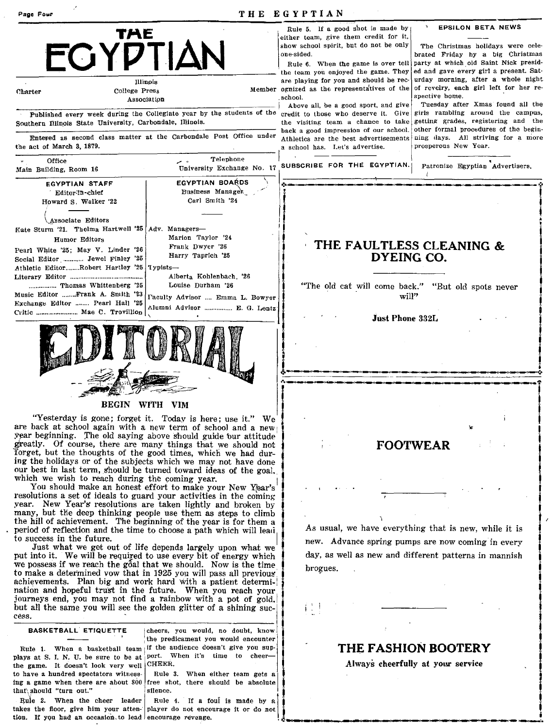| Page Four                                                                                                                                                                                                                                                                                                           |                                                                                                                                                                                                                                                                                                                                                                                                                                                                                                                                            | THE EGYPTIAN                                                                                                                                                                                                    |                                                                                                                                                                                      |
|---------------------------------------------------------------------------------------------------------------------------------------------------------------------------------------------------------------------------------------------------------------------------------------------------------------------|--------------------------------------------------------------------------------------------------------------------------------------------------------------------------------------------------------------------------------------------------------------------------------------------------------------------------------------------------------------------------------------------------------------------------------------------------------------------------------------------------------------------------------------------|-----------------------------------------------------------------------------------------------------------------------------------------------------------------------------------------------------------------|--------------------------------------------------------------------------------------------------------------------------------------------------------------------------------------|
|                                                                                                                                                                                                                                                                                                                     | TAE<br><b>ECYPTIAN</b>                                                                                                                                                                                                                                                                                                                                                                                                                                                                                                                     | Rule 5. If a good shot is made by<br>either team, give them credit for it,<br>show school spirit, but do not be only<br>one-sided.<br>Rule 6. When the game is over tell<br>the team you enjoyed the game. They | <b>EPSILON BETA NEWS</b><br>The Christmas holidays were cele-<br>brated Friday by a big Christmas<br>party at which old Saint Nick presid-<br>ed and gave every girl a present. Sat- |
| Charter                                                                                                                                                                                                                                                                                                             | Illinois<br>College Press<br>Association                                                                                                                                                                                                                                                                                                                                                                                                                                                                                                   | are playing for you and should be rec-<br>Member ognized as the representatives of the<br>school.<br>Above all, be a good sport, and give                                                                       | urday morning, after a whole night<br>of revelry, each girl left for her re-<br>spective home.<br>Tuesday after Xmas found all the                                                   |
| Southern Illinois State University, Carbondale, Illinois.                                                                                                                                                                                                                                                           | Published every week during the Collegiate year by the students of the                                                                                                                                                                                                                                                                                                                                                                                                                                                                     | credit to those who deserve it. Give<br>the visiting team a chance to take<br>back a good impression of our school.                                                                                             | girls rambling around the campus,<br>getting grades, registering and the<br>other formal procedures of the begin-                                                                    |
| the act of March 3, 1879.                                                                                                                                                                                                                                                                                           | Entered as second class matter at the Carbondale Post Office under                                                                                                                                                                                                                                                                                                                                                                                                                                                                         | Athletics are the best advertisements<br>a school has. Let's advertise.                                                                                                                                         | ning days. All striving for a more<br>prosperous New Year.                                                                                                                           |
| Office<br>Main Building, Room 16                                                                                                                                                                                                                                                                                    | Telephone<br>University Exchange No. 17                                                                                                                                                                                                                                                                                                                                                                                                                                                                                                    | SUBSCRIBE FOR THE EGYPTIAN.                                                                                                                                                                                     | Patronize Egyptian Advertisers.                                                                                                                                                      |
| <b>EGYPTIAN STAFF</b><br>Editor-in-chief<br>Howard S. Walker '22                                                                                                                                                                                                                                                    | EGYPTIAN BOARDS<br>Business Manager<br>Carl Smith '24                                                                                                                                                                                                                                                                                                                                                                                                                                                                                      |                                                                                                                                                                                                                 |                                                                                                                                                                                      |
| Associate Editors<br>Kate Sturm '21. Thelma Hartwell '25   Adv. Managers-<br>Humor Editors<br>Pearl White '25; May V. Linder '26<br>Social Editor  Jewel Finley '25<br>Athletic EditorRobert Hartley '25   Typists-<br>Thomas Whittenberg '25<br>Music Editor Frank A. Smith '23<br>Exchange Editor  Pearl Hall '25 | Marion Taylor '24<br>Frank Dwyer '26<br>Harry Taprich '25<br>Alberta Kohlenbach '26<br>Louise Durham '26<br>Faculty Advisor  Emma L. Bowyer<br>Alumni Advisor  E. G. Lentz                                                                                                                                                                                                                                                                                                                                                                 |                                                                                                                                                                                                                 | THE FAULTLESS CLEANING &<br><b>DYEING CO.</b><br>"The old cat will come back." "But old spots never<br>will"<br><b>Just Phone 332L</b>                                               |
|                                                                                                                                                                                                                                                                                                                     | <b>BEGIN</b>                                                                                                                                                                                                                                                                                                                                                                                                                                                                                                                               |                                                                                                                                                                                                                 |                                                                                                                                                                                      |
|                                                                                                                                                                                                                                                                                                                     | WITH VIM<br>"Yesterday is gone; forget it. Today is here; use it." We<br>are back at school again with a new term of school and a new<br>year beginning. The old saying above should guide bur attitude<br>greatly. Of course, there are many things that we should not<br>forget, but the thoughts of the good times, which we had dur-<br>ing the holidays or of the subjects which we may not have done<br>our best in last term, should be turned toward ideas of the goal.<br>which we wish to reach during the coming year.          |                                                                                                                                                                                                                 | 'n.<br><b>FOOTWEAR</b>                                                                                                                                                               |
| to success in the future.                                                                                                                                                                                                                                                                                           | You should make an honest effort to make your New Year's<br>resolutions a set of ideals to guard your activities in the coming<br>year. New Year's resolutions are taken lightly and broken by<br>many, but the deep thinking people use them as steps to climb<br>the hill of achievement. The beginning of the year is for them a<br>period of reflection and the time to choose a path which will lead                                                                                                                                  |                                                                                                                                                                                                                 | As usual, we have everything that is new, while it is<br>new. Advance spring pumps are now coming in every                                                                           |
|                                                                                                                                                                                                                                                                                                                     | Just what we get out of life depends largely upon what we<br>put into it. We will be required to use every bit of energy which<br>we possess if we reach the goal that we should. Now is the time<br>to make a determined vow that in 1925 you will pass all previous<br>achievements. Plan big and work hard with a patient determi-<br>nation and hopeful trust in the future. When you reach your<br>journeys end, you may not find a rainbow with a pot of gold.<br>but all the same you will see the golden glitter of a shining suc- | brogues.<br>$\left(\begin{array}{c} 1 \\ 1 \end{array}\right)$                                                                                                                                                  | day, as well as new and different patterns in mannish                                                                                                                                |
| cess.<br><b>BASKETBALL ETIQUETTE</b><br>Rule 1. When a basketball team<br>plays at S. I. N. U. be sure to be at<br>the game. It doesn't look very well<br>to have a hundred spectators witness-<br>that\should "turn out."                                                                                          | cheers, you would, no doubt, know<br>the predicament you would encounter<br>if the audience doesn't give you sup-<br>port. When it's time to cheer-<br>CHEER.<br>Rule 3. When either team gets a<br>ing a game when there are about 800 free shot, there should be absolute<br>silence.                                                                                                                                                                                                                                                    |                                                                                                                                                                                                                 | THE FASHION BOOTERY<br>Always cheerfully at your service                                                                                                                             |
| Rule 2. When the cheer leader<br>tion. If you had an occasion to lead encourage revenge.                                                                                                                                                                                                                            | Rule 4. If a foul is made by a<br>takes the floor, give him your atten   player do not encourage it or do not                                                                                                                                                                                                                                                                                                                                                                                                                              |                                                                                                                                                                                                                 |                                                                                                                                                                                      |

 $\ddot{\phantom{1}}$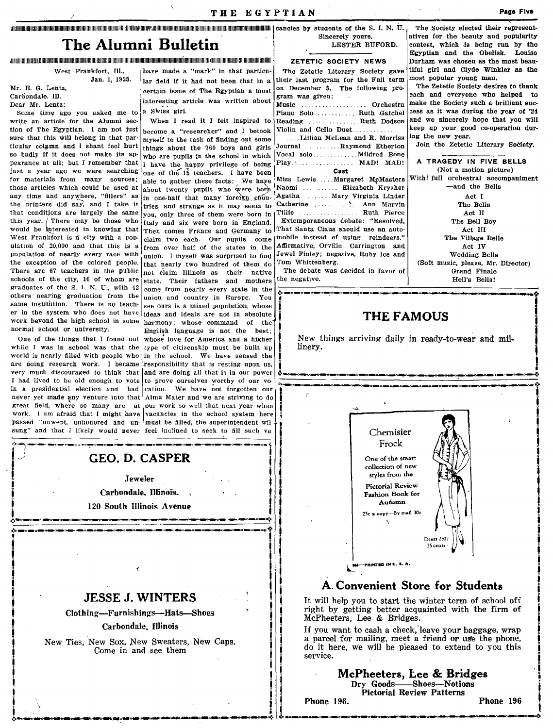## The Alumni Bulletin

#### .<br>The continuum and the continuum and the continuum and the continuum and the continuum and the continuum and the continuum and the continuum and the continuum and the continuum and the continuum and the continuum and the

West Frankfort, Ill.,

Jan. 1, 1925.

Mr. E. G. Lentz Carbondale, Ill. Dear Mr. Lentz:

Some time ago you asked me to write an article for the Alumni sec-

tion of The Egyptian. I am not just sure that this will belong in that particular column and I shant feel hurt so badly if it does not make its appearance at all: but I remember that just a year ago we were searching for materials from many sources: those articles which could be used at any time and anywhere. "fillers" as the printers did say, and I take it that conditions are largely the same this year. There may be those who intelly and six were born in England. would be interested in knowing that West Frankfort is a city with a population of 20,000 and that this is a population of nearly every race with the exception of the colored people. There are 67 teachers in the public schools of the city, 16 of whom are state. Their fathers and mothers graduates of the S. I. N. U., with 42 others nearing graduation from the same institution. There is no teacher in the system who does not have ideas and ideals are not in absolute work beyond the high school in some narmony; whose command of the normal school or university.

while I was in school was that the type of citizenship must be built up sung" and that I likely would never feel inclined to seek to fill such va

have made a "mark" in that particular field if it had not been that in a certain issue of The Egyptian a most interesting article was written about a Swiss girl.

When I read it I felt inspired to become a "researcher" and I betook myself to the task of finding out some things about the 760 boys and girls who are pupils in the school in which I have the happy privilege of being one of the 15 teachers. I have been able to gather these facts: We have about twenty pupils who were born in one-half that many foreign countries, and strange as it may seem to you, only three of them were born in from over half of the states in the union. I myself was surprised to find that nearly two hundred of them do not claim Illinois as their native come from nearly every state in the union and country in Europe. You see ours is a mixed population, whose English language is not the best. One of the things that I found out whose love for America and a higher

world is nearly filled with people who in the school. We have sensed the are doing research work. I became responsibility that is resting upon us, very much discouraged to think that and are doing all that is in our power I had lived to be old enough to vote to prove ourselves worthy of our voin a presidential election and had cation. We have not forgotten our never yet made any venture into that Alma Mater and we are striving to do great field, where so many are at our work so well that next year when work. I am afraid that I might have vacancies in the school system here passed "unwept, unhonored and un- must be filled, the superintendent wil

Sincerely vours. LESTER BUFORD.

ZETETIC SOCIETY NEWS

The Zetetic Literary Society gave their last program for the Fall term on December 5. The following program was given: Music .................. Orchestra Piano Solo..........Ruth Gatchel Reading ..............Ruth Dodson Violin and Cello Duet.... Lillian McLean and R Morriss Journal .......Raymond Etherton Play ................. MAD! MAD!  $C$ aet Miss Lewis.....Margaret McMasters Naomi ... ..... Elizabeth Krysher Agatha ........Mary Virginia Linder Catherine ............... Ann Marvin Tillie de la provincia de la provincia de la provincia de la provincia de la provincia de la provincia de la p . Ruth Pierce Extemporaneous debate: "Resolved, Then comes France and Germany to That Santa Claus should use an autoclaim two each. Our pupils come | mobile instead of using reindeers." Affirmative, Orville Carrington and Jewel Finley; negative, Ruby Ice and

Tom Whittenberg. The debate was decided in favor of the negative.

The Society elected their representatives for the beauty and popularity contest, which is being run by the Egyptian and the Obelisk. Louise Durham was chosen as the most beautiful girl and Clyde Winkler as the most popular young man.

The Zetetic Society desires to thank each and everyone who helped to make the Society such a brilliant success as it was during the year of '24 and we sincerely hope that you will keep up your good co-operation during the new year.

Join the Zetetic Literary Society.

A TRAGEDY IN FIVE BELLS (Not a motion picture) With full orchestral accompaniment -and the Bells Act I The Bells Act II The Bell Boy Act III The Village Belle Act IV Wedding Bells (Soft music, please, Mr. Director) Grand Finale Hell's Bells!

## **THE FAMOUS**

New things arriving daily in ready-to-wear and millinery.



#### A Convenient Store for Students

It will help you to start the winter term of school off right by getting better acquainted with the firm of McPheeters, Lee & Bridges.

If you want to cash a check, leave your baggage, wrap a parcel for mailing, meet a friend or use the phone, do it here, we will be pieased to extend to you this service.

> McPheeters, Lee & Bridges Dry Goods-Shoes-Notions **Pictorial Review Patterns**

Phone 196.

Phone 196

**JESSE J. WINTERS** 

Æ

**GEO. D. CASPER** 

Jeweler

Carbondale, Illinois.

120 South Illinois Avenue

Clothing-Furnishings-Hats-Shoes

#### Carbondale, Illinois

New Ties, New Sox, New Sweaters, New Caps. Come in and see them

**Page Flve**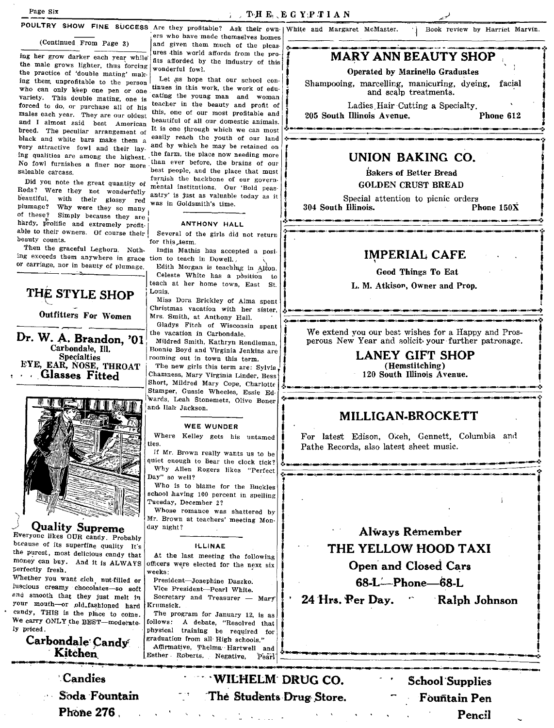Book review by Harriet Marvin.

#### (Continued From Page 3)

ing her grow darker each year while the male grows lighter, thus forcing the practice of 'double mating' making them unprofitable to the person who can only keep one pen or one variety. This double mating, one is forced to do, or purchase all of his males each year. They are our oldest and I almost said best American breed. The peculiar arrangement of black and white bars make them a very attractive fowl and their lay-No fowl furnishes a finer nor more saleable carcass.

Did you note the great quantity of Reds? Were they not wonderfully beautiful, with their glossy red plumage? Why were they so many of these? Simply because they are hardy, prolific and extremely profitable to their owners. Of course their beauty counts

Then the graceful Leghorn. Nothing exceeds them anywhere in grace tion to teach in Dowell. or carriage, nor in beauty of plumage.

## THE STYLE SHOP

#### Outfitters For Women

Dr. W. A. Brandon, '01 Carbondale, Ill. **Specialties** EYE, EAR, NOSE, THROAT **Glasses Fitted** 



**Quality Supreme** 

Everyone likes OUR candy. Probably because of its superfine quality It's the purest, most delicious candy that money can buy. And it is ALWAYS perfectly fresh.

Whether you want rich nut-filled or luscious creamy chocolates-so soft and smooth that they just melt in your mouth-or old-fashioned hard candy, THIS is the place to come. We carry ONLY the BEST-moderately priced.

Carbondale Candy Kitchen

> **Candies** Soda Fountain **Phone 276**.

POULTRY SHOW FINE SUCCESS Are they profitable? Ask their own | White and Margaret McMaster. ers who have made themselves homes and given them much of the pleasures this world affords from the profits afforded by the industry of this wonderful fowl.

Let us hope that our school continues in this work, the work of educating the young man and woman teacher in the beauty and profit of this, one of our most profitable and beautiful of all our domestic animals. It is one through which we can most easily reach the youth of our land and by which he may be retained on ing qualities are among the highest. the farm, the place now needing more than ever before, the brains of our best people, and the place that must furnish the backbone of our governmental institutions. Our 'Bold peasantry' is just as valuable today as it was in Goldsmith's time.

#### ANTHONY HALL

Several of the girls did not return for this term

India Mathis has accepted a posi-

Edith Morgan is teaching in Alton. Celeste White has a position to teach at her home town, East St. Louis.

Miss Dora Brickley of Alma spent Christmas vacation with her sister, Mrs. Smith, at Anthony Hall.

Gladys Fitch of Wisconsin spent the vacation in Carbondale

Mildred Smith, Kathryn Rendleman, Bonnie Boyd and Virginia Jenkins are rooming out in town this term.

The new girls this term are: Sylvia Chamness, Mary Virginia Linder, Bess Short, Mildred Mary Cope, Charlotte Stamper, Gussie Wheeles, Essie Edwards, Leah Stonemetz, Olive Boner and Ilah Jackson.

#### **WEE WUNDER**

Where Kelley gets his untamed ties.

If Mr. Brown really wants us to be quiet enough to hear the clock tick? Why Allen Rogers likes "Perfect Day" so well?

Who is to blame for the Buckles school having 100 percent in spelling Tuesday, December 2?

Whose romance was shattered by Mr. Brown at teachers' meeting Monday night?

#### **HUINAF**

At the last meeting the following officers were elected for the next six weeks:

President-Josephine Daszko. Vice President-Pearl White.

Secretary and Treasurer - Mary Krumsick.

The program for January 12, is as follows: A debate, "Resolved that physical training be required for graduation from all High schools." Affirmative, Thelma Hartwell and Esther Roberts. Negative,

**MARY ANN BEAUTY SHOP** 

#### Operated by Marinello Graduates

Shampooing, marcelling, manicuring, dyeing, facial and scalp treatments.

Ladies Hair Cutting a Specialty. 205 South Illinois Avenue. Phone 612

UNION BAKING CO.

**Bakers of Better Bread GOLDEN CRUST BREAD** 

Special attention to picnic orders 304 South Illinois. Phone  $150X$ 

**IMPERIAL CAFE** 

**Good Things To Eat** 

L. M. Atkison, Owner and Prop.

We extend you our best wishes for a Happy and Prosperous New Year and solicit your further patronage.

> **LANEY GIFT SHOP** (Hemstitching) 120 South Illinois Avenue.

### MILLIGAN-BROCKETT

For latest Edison, Okeh, Gennett, Columbia and Pathe Records, also latest sheet music.



24 Hrs. Per Dav.

WILHELM DRUG CO. mita i L The Students Drug Store.

**School Supplies Fountain Pen** Pencil

Ralph Johnson

Pearl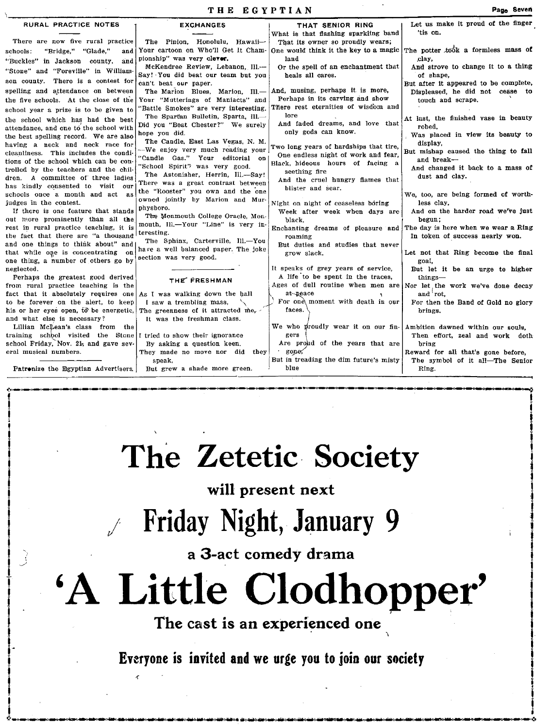| RURAL PRACTICE NOTES                                                           | <b>EXCHANGES</b>                                                           | THAT SENIOR RING                                                         | Let us make it proud of the finger             |
|--------------------------------------------------------------------------------|----------------------------------------------------------------------------|--------------------------------------------------------------------------|------------------------------------------------|
|                                                                                |                                                                            | What is that flashing sparkling band                                     | 'tis on.                                       |
| There are now five rural practice                                              | The Pinion. Honolulu. Hawaii-                                              | That its owner so proudly wears;                                         |                                                |
| "Bridge," "Glade,"<br>schools:<br>and                                          | Your cartoon on Who'll Get It Cham-                                        | One would think it the key to a magic                                    | The potter took a formless mass of             |
| "Buckles" in Jackson county, and                                               | pionship" was very clever.                                                 | land                                                                     | clay.                                          |
| "Stone" and "Foreville" in William-                                            | McKendree Review, Lebanon, Ill.-                                           | Or the spell of an enchantment that                                      | And strove to change it to a thing             |
| son county. There is a contest for                                             | Say! You did beat our team but you                                         | heals all cares.                                                         | of shape.                                      |
|                                                                                | can't beat our paper.                                                      | And, musing, perhaps it is more,                                         | But after it appeared to be complete,          |
| spelling and attendance on between                                             | The Marion Blues, Marion, Ill.-                                            | Perhaps in its carving and show                                          | Displeased, he did not cease to                |
| the five schools. At the close of the                                          | Your "Mutterings of Maniacts" and<br>"Battle Smokes" are very interesting. | There rest eternities of wisdom and                                      | touch and scrape.                              |
| school year a prize is to be given to                                          | The Spartan Bulletin, Sparta, Ill.-                                        | lore                                                                     |                                                |
| the school which has had the best                                              | Did you "Beat Chester?" We surely                                          | And faded dreams, and love that                                          | At last, the finished vase in beauty           |
| attendance, and one to the school with                                         | hope you did.                                                              | only gods can know.                                                      | robed,                                         |
| the best spelling record. We are also                                          | The Candle, East Las Vegas, N. M.                                          |                                                                          | Was placed in view its beauty to<br>display,   |
| having a neck and neck race for                                                | --We enjoy very much reading your                                          | Two long years of hardships that tire,                                   | But mishap caused the thing to fall            |
| cleanliness. This includes the condi-<br>tions of the school which can be con- | "Candle Gas." Your editorial on                                            | One endless night of work and fear,                                      | and break-                                     |
| trolled by the teachers and the chil-                                          | "School Spirit" was very good.                                             | Black, hideous hours of facing a                                         | And changed it back to a mass of               |
| dren. A committee of three ladies                                              | The Astonisher, Herrin, Ill.-Say!                                          | seething fire                                                            | dust and clay.                                 |
| has kindly consented to visit our                                              | There was a great contrast between                                         | And the cruel hungry flames that                                         |                                                |
| schools once a month and act as                                                | the "Rooster" you own and the one                                          | blister and sear.                                                        | We, too, are being formed of worth-            |
| judges in the contest.                                                         | owned jointly by Marion and Mur-                                           | Night on night of ceaseless boring                                       | less clay.                                     |
| If there is one feature that stands                                            | physboro.                                                                  | Week after week when days are                                            | And on the harder road we've just              |
| out more prominently than all the                                              | The Monmouth College Oracle, Mon-                                          | black.                                                                   | begun:                                         |
| rest in rural practice teaching, it is                                         | mouth, Ill.-Your "Line" is very in-                                        | Enchanting dreams of pleasure and                                        | The day is here when we wear a Ring            |
| the fact that there are "a thousand                                            | teresting.<br>The Sphinx, Carterville, Ill.-You                            | roaming                                                                  | In token of success nearly won.                |
| and one things to think about" and                                             | have a well balanced paper. The joke                                       | But duties and studies that never                                        |                                                |
| that while one is concentrating on                                             | section was very good.                                                     | grow slack.                                                              | Let not that Ring become the final             |
| one thing, a number of others go by                                            |                                                                            |                                                                          | goal,                                          |
| neglected.                                                                     |                                                                            | It speaks of grey years of service,<br>A life to be spent in the traces, | But let it be an urge to higher                |
| Perhaps the greatest good derived<br>from rural practice teaching is the       | THE FRESHMAN                                                               | Ages of dull routine when men are                                        | things-                                        |
| fact that it absolutely requires one                                           | As I was walking down the hall                                             | at peace                                                                 | Nor let the work we've done decay<br>and 'rot, |
| to be forever on the alert, to keep                                            | I saw a trembling mass,                                                    | For one moment with death in our                                         | For then the Band of Gold no glory             |
| his or her eyes open, to be energetic,                                         | The greenness of it attracted me, $\sim$                                   | faces.                                                                   | brings.                                        |
| and what else is necessary?                                                    | It was the freshman class.                                                 |                                                                          |                                                |
| Lillian McLean's class from the                                                |                                                                            | We who proudly wear it on our fin- Ambition dawned within our souls.     |                                                |
| training school visited the Stone                                              | I tried to show their ignorance                                            | gers                                                                     | Then effort, zeal and work doth                |
| school Friday, Nov. 21, and gave sev-                                          | By asking a question keen.                                                 | Are proud of the years that are                                          | bring                                          |
| eral musical numbers.                                                          | They made no move nor did<br>they!                                         | gone,                                                                    | Reward for all that's gone before.             |

Patrenize the Egyptian Advertisers.

speak,

But grew a shade more green

# **Zetetic Society**

.~.)\_(\_,. \_\_ ~~~\_.-t'-~~(~ \_\_ ""'~.\_~~~~\_~~\_II\_n\_~\_O\_g\_D\_a\_g

blue

But in treading the dim future's misty

**will present next** 

**Friday Night, January 9** 

**a 3-act comedy drama** 

**'A Little Clodhopper'** , .

The cast is an experienced one

Everyone is invited and we urge you to join our society

Page Seven

The symbol of it all-The Senior

 $\frac{1}{2}$ 

i<br>India<br>I  $\overline{\phantom{a}}$ į.

I į j ,

 $\overline{\mathbf{I}}$ i<br>I<br>I<br>I ! ! I

i<br>I

juan menghalan

i

Ring.